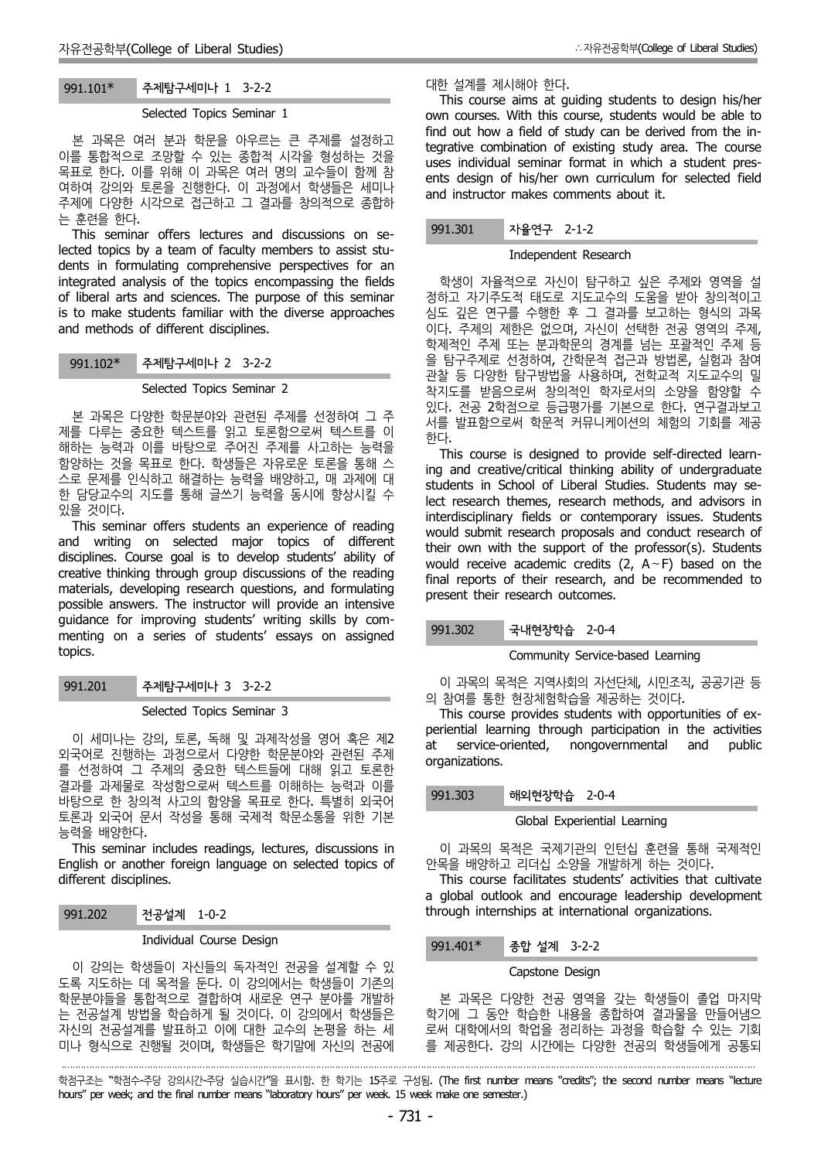# 991.101\* 주제탐구세미나 1 3-2-2

## Selected Topics Seminar 1

본 과목은 여러 분과 학문을 아우르는 큰 주제를 설정하고 이를 통합적으로 조망할 수 있는 종합적 시각을 형성하는 것을 목표로 한다. 이를 위해 이 과목은 여러 명의 교수들이 함께 참 여하여 강의와 토론을 진행한다. 이 과정에서 학생들은 세미나 주제에 다양한 시각으로 접근하고 그 결과를 창의적으로 종합하 는 훈련을 한다.

This seminar offers lectures and discussions on selected topics by a team of faculty members to assist stu dents in formulating comprehensive perspectives for an integrated analysis of the topics encompassing the fields of liberal arts and sciences. The purpose of this seminar is to make students familiar with the diverse approaches and methods of different disciplines.

# 991.102\* 주제탐구세미나 2 3-2-2

## Selected Topics Seminar 2

본 과목은 다양한 학문분야와 관련된 주제를 선정하여 그 주 제를 다루는 중요한 텍스트를 읽고 토론함으로써 텍스트를 이 해하는 능력과 이를 바탕으로 주어진 주제를 사고하는 능력을 함양하는 것을 목표로 한다. 학생들은 자유로운 토론을 통해 스 스로 문제를 인식하고 해결하는 능력을 배양하고, 매 과제에 대 한 담당교수의 지도를 통해 글쓰기 능력을 동시에 향상시킬 수 있을 것이다.

This seminar offers students an experience of reading and writing on selected major topics of different disciplines. Course goal is to develop students' ability of creative thinking through group discussions of the reading materials, developing research questions, and formulating possible answers. The instructor will provide an intensive guidance for improving students' writing skills by com menting on a series of students' essays on assigned topics.

# 991.201 주제탐구세미나 3 3-2-2

## Selected Topics Seminar 3

이 세미나는 강의, 토론, 독해 및 과제작성을 영어 혹은 제2 이 세미니는 8의, 포논, 곡에 및 피세극8을 8이 <del>목</del>는 세**4 at service-oriented,**<br>외국어로 진행하는 과정으로서 다양한 학문분야와 관련된 주제 acconstantione 를 선정하여 그 주제의 중요한 텍스트들에 대해 읽고 토론한 결과를 과제물로 작성함으로써 텍스트를 이해하는 능력과 이를 바탕으로 한 창의적 사고의 함양을 목표로 한다. 특별히 외국어 토론과 외국어 문서 작성을 통해 국제적 학문소통을 위한 기본

능력을 배양한다. This seminar includes readings, lectures, discussions in English or another foreign language on selected topics of different disciplines.

991.202 전공설계 1-0-2

·

## Individual Course Design

이 강의는 학생들이 자신들의 독자적인 전공을 설계할 수 있 도록 지도하는 데 목적을 둔다. 이 강의에서는 학생들이 기존의 학문분야들을 통합적으로 결합하여 새로운 연구 분야를 개발하 는 전공설계 방법을 학습하게 될 것이다. 이 강의에서 학생들은 자신의 전공설계를 발표하고 이에 대한 교수의 논평을 하는 세 미나 형식으로 진행될 것이며, 학생들은 학기말에 자신의 전공에

대한 설계를 제시해야 한다. This course aims at guiding students to design his/her own courses. With this course, students would be able to find out how a field of study can be derived from the integrative combination of existing study area. The course uses individual seminar format in which a student pres ents design of his/her own curriculum for selected field and instructor makes comments about it.

## 991.301 자율연구 2-1-2

### Independent Research

학생이 자율적으로 자신이 탐구하고 싶은 주제와 영역을 설 정하고 자기주도적 태도로 지도교수의 도움을 받아 창의적이고 심도 깊은 연구를 수행한 후 그 결과를 보고하는 형식의 과목 이다. 주제의 제한은 없으며, 자신이 선택한 전공 영역의 주제, 학제적인 주제 또는 분과학문의 경계를 넘는 포괄적인 주제 등 을 탐구주제로 선정하여, 간학문적 접근과 방법론, 실험과 참여 관찰 등 다양한 탐구방법을 사용하며, 전학교적 지도교수의 밀 착지도를 받음으로써 창의적인 학자로서의 소양을 함양할 수 있다. 전공 2학점으로 등급평가를 기본으로 한다. 연구결과보고 서를 발표함으로써 학문적 커뮤니케이션의 체험의 기회를 제공 한다.

This course is designed to provide self-directed learning and creative/critical thinking ability of undergraduate students in School of Liberal Studies. Students may select research themes, research methods, and advisors in interdisciplinary fields or contemporary issues. Students would submit research proposals and conduct research of their own with the support of the professor(s). Students would receive academic credits (2, A∼F) based on the final reports of their research, and be recommended to present their research outcomes.

## 991.302 국내현장학습 2-0-4

## Community Service-based Learning

이 과목의 목적은 지역사회의 자선단체, 시민조직, 공공기관 등 <sup>의</sup> 참여를 통한 현장체험학습을 제공하는 것이다. This course provides students with opportunities of ex-

periential learning through participation in the activities nongovernmental and public organizations.

# 991.303 해외현장학습 2-0-4

#### Global Experiential Learning

이 과목의 목적은 국제기관의 인턴십 훈련을 통해 국제적인 안목을 배양하고 리더십 소양을 개발하게 하는 것이다.

This course facilitates students' activities that cultivate a global outlook and encourage leadership development through internships at international organizations.

## 991.401\* 종합 설계 3-2-2

## Capstone Design

본 과목은 다양한 전공 영역을 갖는 학생들이 졸업 마지막 학기에 그 동안 학습한 내용을 종합하여 결과물을 만들어냄으 로써 대학에서의 학업을 정리하는 과정을 학습할 수 있는 기회 를 제공한다. 강의 시간에는 다양한 전공의 학생들에게 공통되

학점구조는 "학점수-주당 강의시간-주당 실습시간"을 표시함. 한 학기는 15주로 구성됨. (The first number means "credits"; the second number means "lecture hours" per week; and the final number means "laboratory hours" per week. 15 week make one semester.)